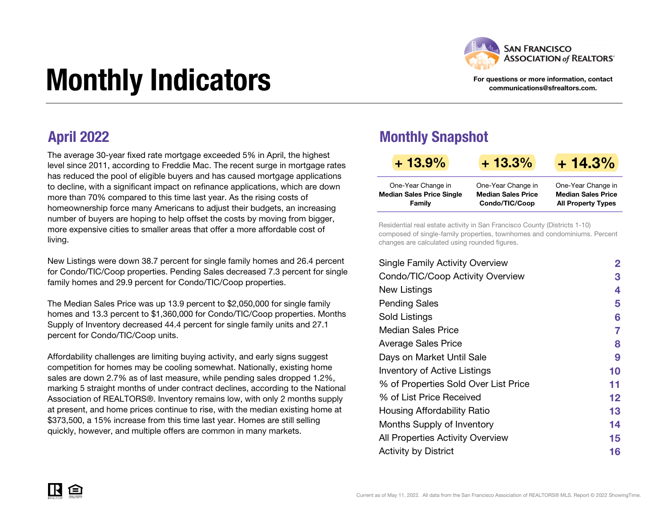

For questions or more information, contact communications@sfrealtors.com.

# Monthly Indicators

The average 30-year fixed rate mortgage exceeded 5% in April, the highest level since 2011, according to Freddie Mac. The recent surge in mortgage rates has reduced the pool of eligible buyers and has caused mortgage applications to decline, with a significant impact on refinance applications, which are down more than 70% compared to this time last year. As the rising costs of homeownership force many Americans to adjust their budgets, an increasing number of buyers are hoping to help offset the costs by moving from bigger, more expensive cities to smaller areas that offer a more affordable cost of living.

New Listings were down 38.7 percent for single family homes and 26.4 percent for Condo/TIC/Coop properties. Pending Sales decreased 7.3 percent for single family homes and 29.9 percent for Condo/TIC/Coop properties.

The Median Sales Price was up 13.9 percent to \$2,050,000 for single family homes and 13.3 percent to \$1,360,000 for Condo/TIC/Coop properties. Months Supply of Inventory decreased 44.4 percent for single family units and 27.1 percent for Condo/TIC/Coop units.

Affordability challenges are limiting buying activity, and early signs suggest competition for homes may be cooling somewhat. Nationally, existing home sales are down 2.7% as of last measure, while pending sales dropped 1.2%, marking 5 straight months of under contract declines, according to the National Association of REALTORS®. Inventory remains low, with only 2 months supply at present, and home prices continue to rise, with the median existing home at \$373,500, a 15% increase from this time last year. Homes are still selling quickly, however, and multiple offers are common in many markets.

### April 2022 Monthly Snapshot

| $+13.9%$                         | $+13.3%$                  | $+14.3%$                  |
|----------------------------------|---------------------------|---------------------------|
| One-Year Change in               | One-Year Change in        | One-Year Change in        |
| <b>Median Sales Price Single</b> | <b>Median Sales Price</b> | <b>Median Sales Price</b> |
| Family                           | Condo/TIC/Coop            | <b>All Property Types</b> |

Residential real estate activity in San Francisco County (Districts 1-10) composed of single-family properties, townhomes and condominiums. Percent changes are calculated using rounded figures.

| <b>Single Family Activity Overview</b> | $\overline{2}$ |
|----------------------------------------|----------------|
| Condo/TIC/Coop Activity Overview       | 3              |
| New Listings                           | 4              |
| <b>Pending Sales</b>                   | 5              |
| Sold Listings                          | 6              |
| Median Sales Price                     | 7              |
| <b>Average Sales Price</b>             | 8              |
| Days on Market Until Sale              | 9              |
| <b>Inventory of Active Listings</b>    | 10             |
| % of Properties Sold Over List Price   | 11             |
| % of List Price Received               | 12             |
| Housing Affordability Ratio            | 13             |
| Months Supply of Inventory             | 14             |
| All Properties Activity Overview       | 15             |
| <b>Activity by District</b>            | 16             |

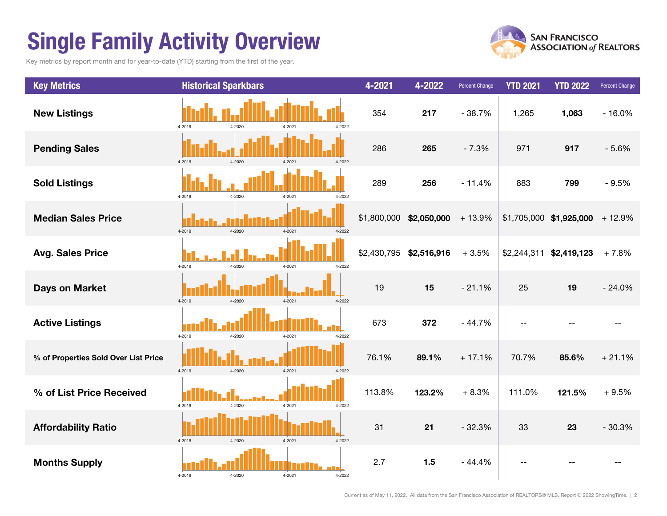# Single Family Activity Overview

Key metrics by report month and for year-to-date (YTD) starting from the first of the year.



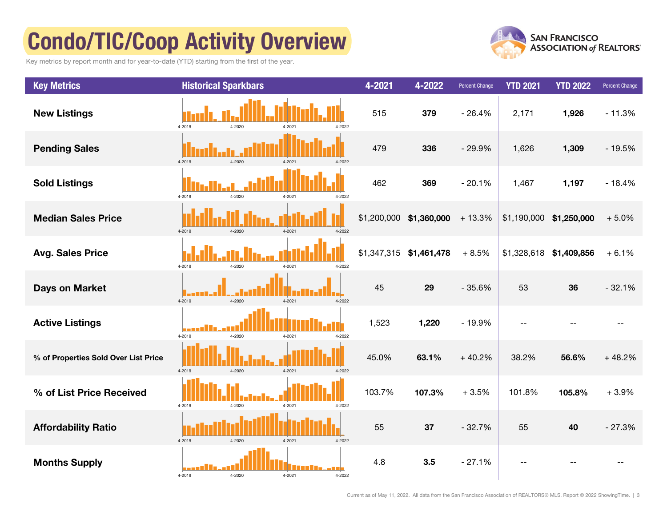# Condo/TIC/Coop Activity Overview

Key metrics by report month and for year-to-date (YTD) starting from the first of the year.



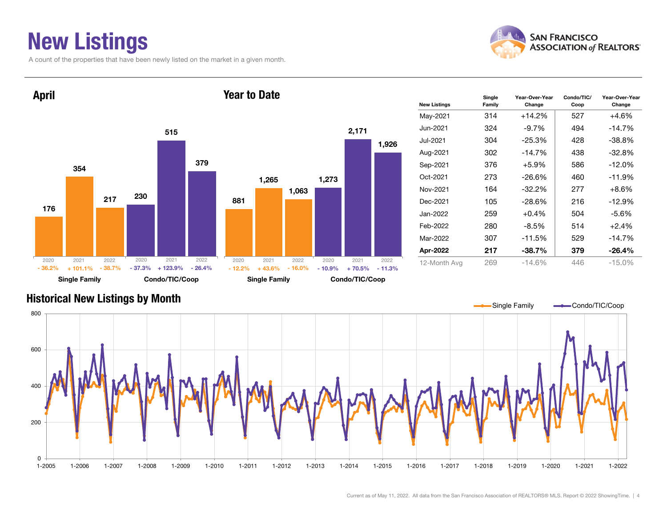### New Listings

A count of the properties that have been newly listed on the market in a given month.





### Historical New Listings by Month



Current as of May 11, 2022. All data from the San Francisco Association of REALTORS® MLS. Report © 2022 ShowingTime. | 4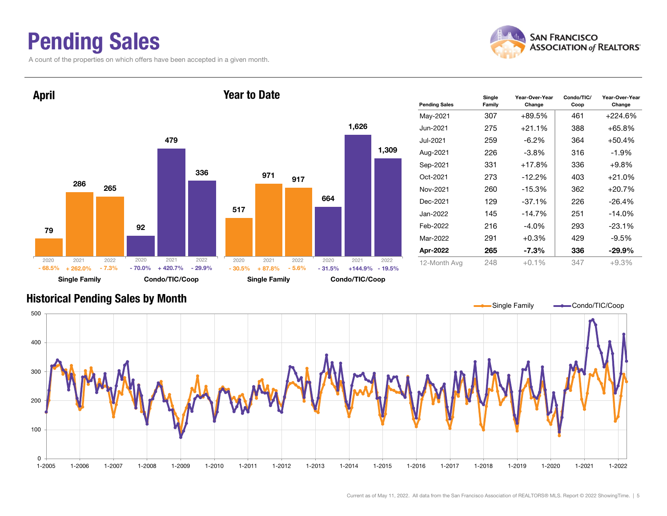### Pending Sales

A count of the properties on which offers have been accepted in a given month.





#### Historical Pending Sales by Month

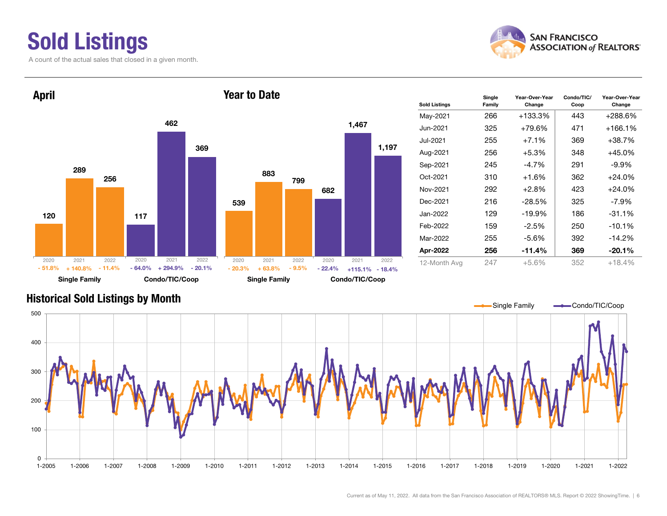### Sold Listings

A count of the actual sales that closed in a given month.



Condo/TIC/ Coop

Year-Over-Year Change



### Historical Sold Listings by Month

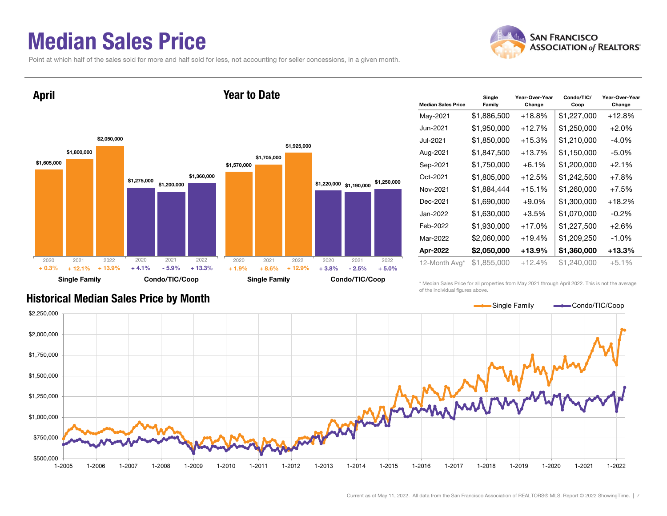### Median Sales Price

Point at which half of the sales sold for more and half sold for less, not accounting for seller concessions, in a given month.



#### \$1,605,000 \$1,275,000 \$1,800,000 \$1,200,000 \$2,050,000 \$1,360,000 Single Family Condo/TIC/Coop April \$1,570,000 \$1,220,000 \$1,190,000 \$1,250,000 \$1,705,000 \$1,925,000 Single Family Condo/TIC/Coop Year to Date2020 2021 2022 $\%$  + 12.1% + 13.9% + 4.1% - 5.9% + 13.3% + 1.9% + 8.6% + 12.9% + 3.8% - 2.5%  $-2.5\%$   $+5.0\%$ 2020 2021 2022 2020 2021 2022 2020 2021 2022 + 0.3% $+ 1.9\% + 8.6\% + 12.9\% + 3.8\%$

| <b>Median Sales Price</b> | Single<br>Family | Year-Over-Year<br>Change | Condo/TIC/<br>Coop | Year-Over-Year<br>Change |
|---------------------------|------------------|--------------------------|--------------------|--------------------------|
| May-2021                  | \$1,886,500      | $+18.8\%$                | \$1,227,000        | +12.8%                   |
| Jun-2021                  | \$1,950,000      | +12.7%                   | \$1,250,000        | $+2.0\%$                 |
| Jul-2021                  | \$1,850,000      | $+15.3%$                 | \$1,210,000        | $-4.0\%$                 |
| Aug-2021                  | \$1,847,500      | $+13.7%$                 | \$1,150,000        | $-5.0\%$                 |
| Sep-2021                  | \$1,750,000      | $+6.1%$                  | \$1,200,000        | $+2.1%$                  |
| Oct-2021                  | \$1,805,000      | $+12.5%$                 | \$1,242,500        | $+7.8%$                  |
| Nov-2021                  | \$1,884,444      | $+15.1%$                 | \$1,260,000        | $+7.5%$                  |
| Dec-2021                  | \$1,690,000      | $+9.0\%$                 | \$1,300,000        | +18.2%                   |
| Jan-2022                  | \$1,630,000      | $+3.5%$                  | \$1,070,000        | $-0.2\%$                 |
| Feb-2022                  | \$1,930,000      | +17.0%                   | \$1,227,500        | $+2.6%$                  |
| Mar-2022                  | \$2,060,000      | $+19.4%$                 | \$1,209,250        | $-1.0\%$                 |
| Apr-2022                  | \$2,050,000      | +13.9%                   | \$1,360,000        | +13.3%                   |
| 12-Month Avg*             | \$1,855,000      | $+12.4%$                 | \$1,240,000        | $+5.1\%$                 |

\* Median Sales Price for all properties from May 2021 through April 2022. This is not the average of the individual figures above.



### Historical Median Sales Price by Month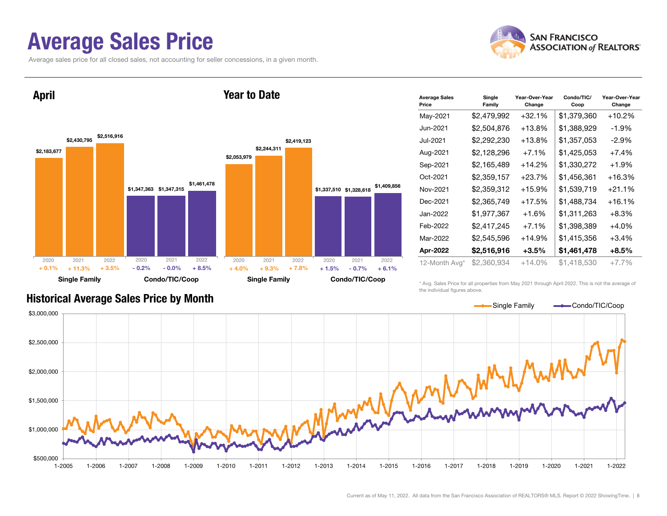### Average Sales Price

Average sales price for all closed sales, not accounting for seller concessions, in a given month.





| <b>Average Sales</b><br>Price | Single<br>Family | Year-Over-Year<br>Change | Condo/TIC/<br>Coop | Year-Over-Year<br>Change |
|-------------------------------|------------------|--------------------------|--------------------|--------------------------|
| May-2021                      | \$2,479,992      | $+32.1%$                 | \$1,379,360        | +10.2%                   |
| Jun-2021                      | \$2,504,876      | $+13.8\%$                | \$1,388,929        | $-1.9\%$                 |
| Jul-2021                      | \$2,292,230      | +13.8%                   | \$1,357,053        | $-2.9\%$                 |
| Aug-2021                      | \$2,128,296      | $+7.1%$                  | \$1,425,053        | $+7.4%$                  |
| Sep-2021                      | \$2,165,489      | $+14.2%$                 | \$1,330,272        | $+1.9%$                  |
| Oct-2021                      | \$2,359,157      | $+23.7%$                 | \$1,456,361        | +16.3%                   |
| Nov-2021                      | \$2,359,312      | $+15.9%$                 | \$1,539,719        | $+21.1%$                 |
| Dec-2021                      | \$2,365,749      | +17.5%                   | \$1,488,734        | +16.1%                   |
| Jan-2022.                     | \$1,977,367      | $+1.6%$                  | \$1,311,263        | $+8.3\%$                 |
| Feb-2022                      | \$2,417,245      | $+7.1\%$                 | \$1,398,389        | $+4.0\%$                 |
| Mar-2022                      | \$2,545,596      | $+14.9%$                 | \$1,415,356        | $+3.4\%$                 |
| Apr-2022                      | \$2,516,916      | +3.5%                    | \$1.461.478        | $+8.5%$                  |
| 12-Month Avg*                 | \$2,360,934      | $+14.0\%$                | \$1.418.530        | $+7.7%$                  |

\* Avg. Sales Price for all properties from May 2021 through April 2022. This is not the average of the individual figures above.



### Historical Average Sales Price by Month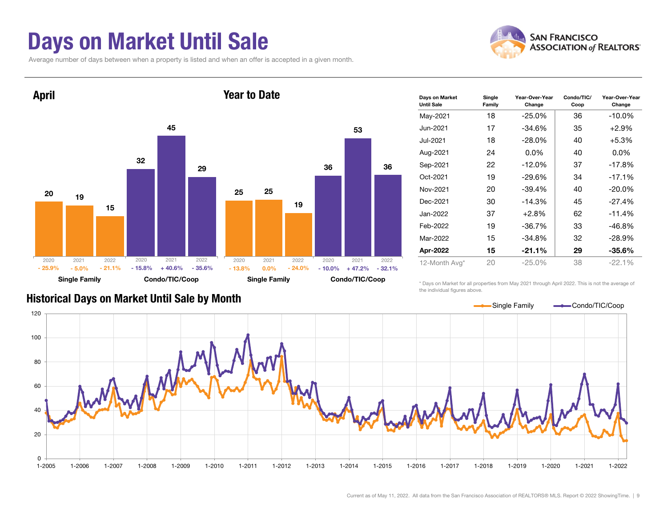### Days on Market Until Sale

Average number of days between when a property is listed and when an offer is accepted in a given month.





| Days on Market<br><b>Until Sale</b> | Single<br>Family | Year-Over-Year<br>Change | Condo/TIC/<br>Coop | Year-Over-Year<br>Change |
|-------------------------------------|------------------|--------------------------|--------------------|--------------------------|
| May-2021                            | 18               | $-25.0\%$                | 36                 | $-10.0\%$                |
| Jun-2021                            | 17               | $-34.6%$                 | 35                 | $+2.9\%$                 |
| Jul-2021                            | 18               | $-28.0\%$                | 40                 | $+5.3%$                  |
| Aug-2021                            | 24               | $0.0\%$                  | 40                 | $0.0\%$                  |
| Sep-2021                            | 22               | $-12.0\%$                | 37                 | $-17.8%$                 |
| Oct-2021                            | 19               | $-29.6%$                 | 34                 | $-17.1%$                 |
| Nov-2021                            | 20               | $-39.4%$                 | 40                 | $-20.0\%$                |
| Dec-2021                            | 30               | $-14.3%$                 | 45                 | $-27.4%$                 |
| Jan-2022.                           | 37               | $+2.8%$                  | 62                 | $-11.4%$                 |
| Feb-2022                            | 19               | -36.7%                   | 33                 | -46.8%                   |
| Mar-2022                            | 15               | $-34.8%$                 | 32                 | $-28.9%$                 |
| Apr-2022                            | 15               | $-21.1%$                 | 29                 | -35.6%                   |
| 12-Month Avg*                       | 20               | $-25.0%$                 | 38                 | $-22.1%$                 |

\* Days on Market for all properties from May 2021 through April 2022. This is not the average of the individual figures above.



#### Historical Days on Market Until Sale by Month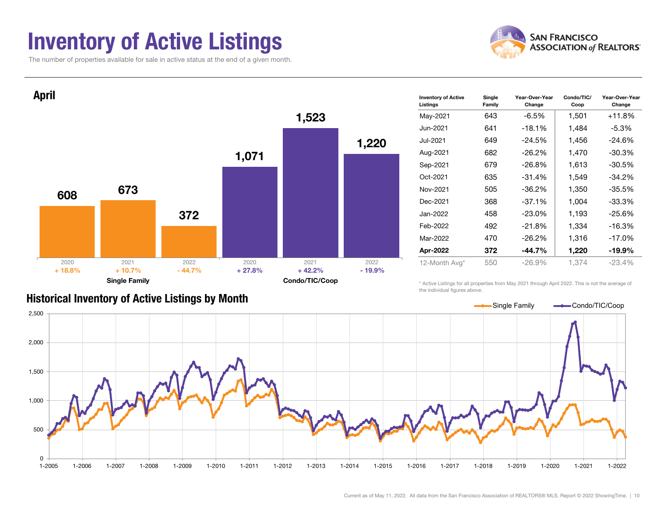### Inventory of Active Listings

The number of properties available for sale in active status at the end of a given month.





#### Historical Inventory of Active Listings by Month

the individual figures above.

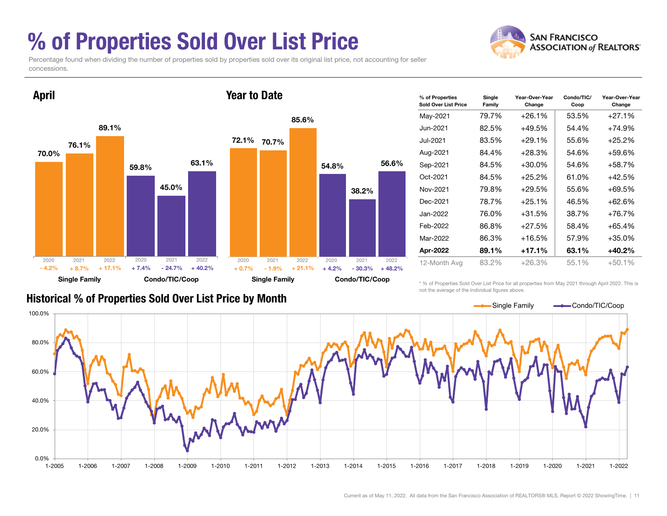### % of Properties Sold Over List Price



Percentage found when dividing the number of properties sold by properties sold over its original list price, not accounting for seller concessions.



| % of Properties<br><b>Sold Over List Price</b> | Single<br>Family | Year-Over-Year<br>Change | Condo/TIC/<br>Coop | Year-Over-Year<br>Change |
|------------------------------------------------|------------------|--------------------------|--------------------|--------------------------|
| May-2021                                       | 79.7%            | $+26.1%$                 | 53.5%              | $+27.1%$                 |
| Jun-2021                                       | 82.5%            | $+49.5%$                 | 54.4%              | $+74.9%$                 |
| Jul-2021                                       | 83.5%            | $+29.1%$                 | 55.6%              | $+25.2%$                 |
| Aug-2021                                       | 84.4%            | $+28.3%$                 | 54.6%              | +59.6%                   |
| Sep-2021                                       | 84.5%            | $+30.0\%$                | 54.6%              | $+58.7%$                 |
| Oct-2021                                       | 84.5%            | $+25.2%$                 | 61.0%              | $+42.5%$                 |
| Nov-2021                                       | 79.8%            | $+29.5%$                 | 55.6%              | $+69.5%$                 |
| Dec-2021                                       | 78.7%            | $+25.1%$                 | 46.5%              | $+62.6%$                 |
| Jan-2022                                       | 76.0%            | $+31.5%$                 | 38.7%              | $+76.7%$                 |
| Feb-2022                                       | 86.8%            | $+27.5%$                 | 58.4%              | $+65.4%$                 |
| Mar-2022                                       | 86.3%            | $+16.5%$                 | 57.9%              | $+35.0%$                 |
| Apr-2022                                       | 89.1%            | $+17.1%$                 | 63.1%              | $+40.2%$                 |
| 12-Month Avg                                   | 83.2%            | $+26.3%$                 | 55.1%              | $+50.1%$                 |

### Historical % of Properties Sold Over List Price by Month

\* % of Properties Sold Over List Price for all properties from May 2021 through April 2022. This is not the average of the individual figures above.

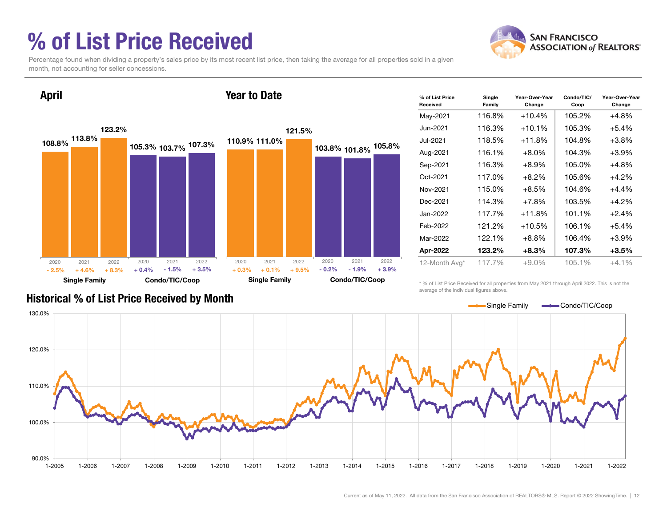### % of List Price Received



Percentage found when dividing a property's sales price by its most recent list price, then taking the average for all properties sold in a given month, not accounting for seller concessions.



| % of List Price<br>Received | Single<br>Family | Year-Over-Year<br>Change | Condo/TIC/<br>Coop | Year-Over-Year<br>Change |
|-----------------------------|------------------|--------------------------|--------------------|--------------------------|
| May-2021                    | 116.8%           | $+10.4%$                 | 105.2%             | $+4.8%$                  |
| Jun-2021                    | 116.3%           | $+10.1%$                 | 105.3%             | $+5.4%$                  |
| Jul-2021                    | 118.5%           | $+11.8%$                 | 104.8%             | $+3.8%$                  |
| Aug-2021                    | 116.1%           | $+8.0\%$                 | 104.3%             | $+3.9%$                  |
| Sep-2021                    | 116.3%           | $+8.9\%$                 | 105.0%             | $+4.8%$                  |
| Oct-2021                    | 117.0%           | $+8.2%$                  | 105.6%             | $+4.2%$                  |
| Nov-2021                    | 115.0%           | $+8.5\%$                 | 104.6%             | $+4.4%$                  |
| Dec-2021                    | 114.3%           | $+7.8%$                  | 103.5%             | $+4.2%$                  |
| Jan-2022                    | 117.7%           | $+11.8%$                 | 101.1%             | $+2.4%$                  |
| Feb-2022                    | 121.2%           | $+10.5%$                 | 106.1%             | $+5.4%$                  |
| Mar-2022                    | 122.1%           | $+8.8\%$                 | 106.4%             | $+3.9%$                  |
| Apr-2022                    | 123.2%           | $+8.3%$                  | 107.3%             | $+3.5%$                  |
| 12-Month Avg*               | 117.7%           | $+9.0%$                  | 105.1%             | $+4.1%$                  |

\* % of List Price Received for all properties from May 2021 through April 2022. This is not the average of the individual figures above.



### Historical % of List Price Received by Month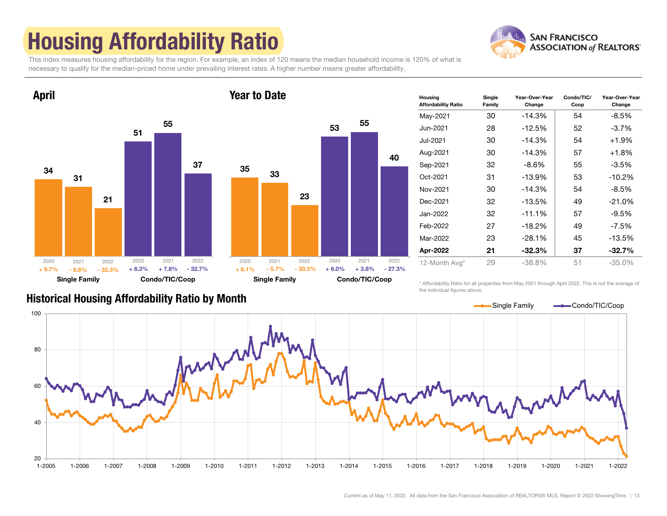# Housing Affordability Ratio



This index measures housing affordability for the region. For example, an index of 120 means the median household income is 120% of what is necessary to qualify for the median-priced home under prevailing interest rates. A higher number means greater affordability.





| Housing<br><b>Affordability Ratio</b> | Single<br>Family | Year-Over-Year<br>Change | Condo/TIC/<br>Coop | Year-Over-Year<br>Change |
|---------------------------------------|------------------|--------------------------|--------------------|--------------------------|
| May-2021                              | 30               | $-14.3%$                 | 54                 | -8.5%                    |
| Jun-2021                              | 28               | $-12.5%$                 | 52                 | $-3.7\%$                 |
| Jul-2021                              | 30               | $-14.3%$                 | 54                 | $+1.9%$                  |
| Aug-2021                              | 30               | $-14.3%$                 | 57                 | $+1.8%$                  |
| Sep-2021                              | 32               | $-8.6\%$                 | 55                 | $-3.5%$                  |
| Oct-2021                              | 31               | $-13.9%$                 | 53                 | $-10.2%$                 |
| Nov-2021                              | 30               | $-14.3%$                 | 54                 | $-8.5%$                  |
| Dec-2021                              | 32               | $-13.5%$                 | 49                 | $-21.0%$                 |
| Jan-2022                              | 32               | $-11.1%$                 | 57                 | $-9.5%$                  |
| Feb-2022                              | 27               | $-18.2%$                 | 49                 | $-7.5\%$                 |
| Mar-2022                              | 23               | $-28.1%$                 | 45                 | $-13.5%$                 |
| Apr-2022                              | 21               | $-32.3%$                 | 37                 | $-32.7%$                 |
| 12-Month Avg*                         | 29               | -38.8%                   | 51                 | $-35.0%$                 |

\* Affordability Ratio for all properties from May 2021 through April 2022. This is not the average of the individual figures above.



#### Current as of May 11, 2022. All data from the San Francisco Association of REALTORS® MLS. Report © 2022 ShowingTime. | 13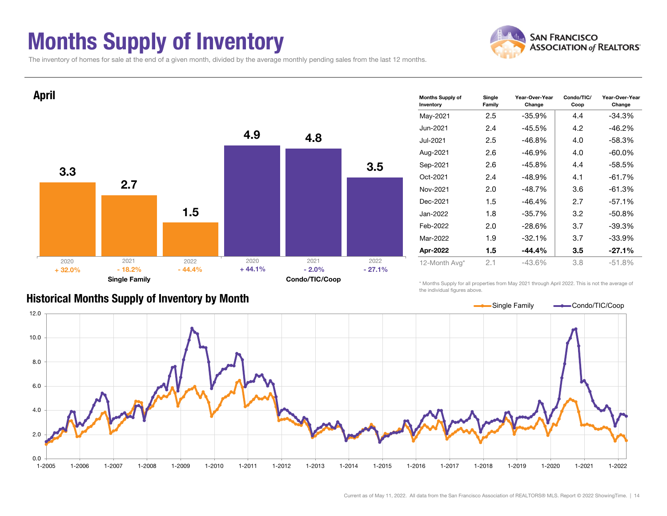### Months Supply of Inventory



The inventory of homes for sale at the end of a given month, divided by the average monthly pending sales from the last 12 months.



#### Historical Months Supply of Inventory by Month

\* Months Supply for all properties from May 2021 through April 2022. This is not the average of the individual figures above.

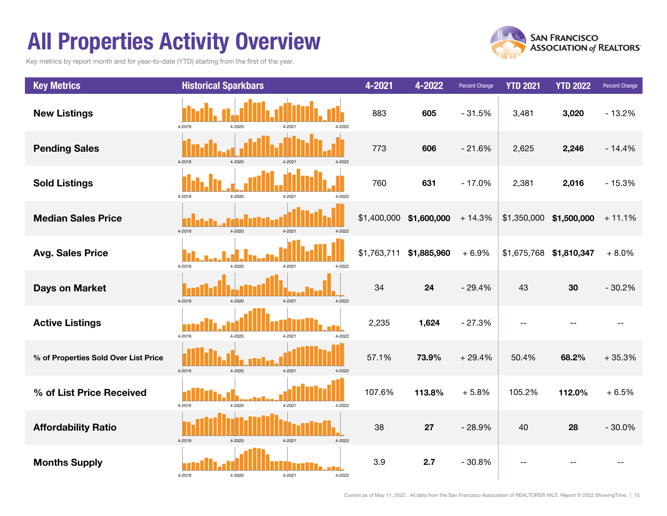### All Properties Activity Overview

Key metrics by report month and for year-to-date (YTD) starting from the first of the year.